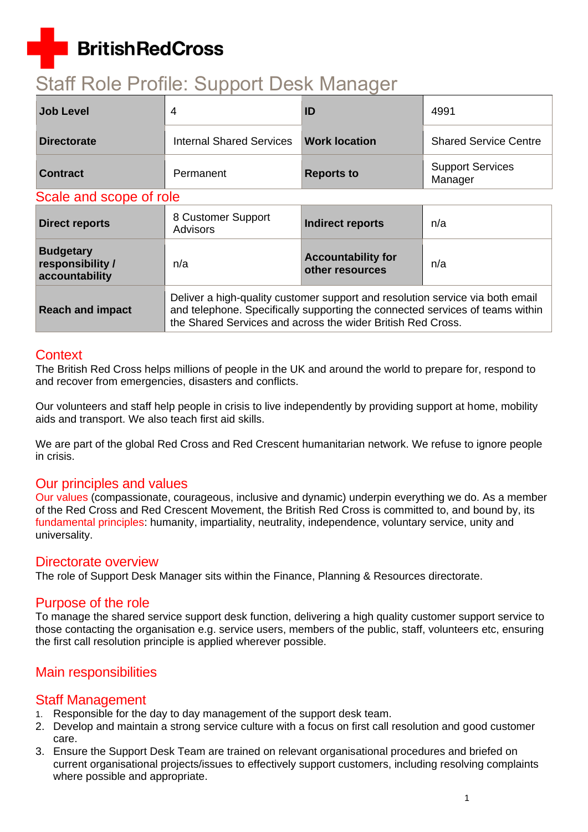## **BritishRedCross**

# Staff Role Profile: Support Desk Manager

| Job Level          |                          | ID                   | 4991                               |
|--------------------|--------------------------|----------------------|------------------------------------|
| <b>Directorate</b> | Internal Shared Services | <b>Work location</b> | <b>Shared Service Centre</b>       |
| <b>Contract</b>    | Permanent                | <b>Reports to</b>    | <b>Support Services</b><br>Manager |

#### Scale and scope of role

| <b>Direct reports</b>                                  | 8 Customer Support<br><b>Advisors</b>                                                                                                                                                                                         | Indirect reports                             | n/a |
|--------------------------------------------------------|-------------------------------------------------------------------------------------------------------------------------------------------------------------------------------------------------------------------------------|----------------------------------------------|-----|
| <b>Budgetary</b><br>responsibility /<br>accountability | n/a                                                                                                                                                                                                                           | <b>Accountability for</b><br>other resources | n/a |
| <b>Reach and impact</b>                                | Deliver a high-quality customer support and resolution service via both email<br>and telephone. Specifically supporting the connected services of teams within<br>the Shared Services and across the wider British Red Cross. |                                              |     |

### **Context**

The British Red Cross helps millions of people in the UK and around the world to prepare for, respond to and recover from emergencies, disasters and conflicts.

Our volunteers and staff help people in crisis to live independently by providing support at home, mobility aids and transport. We also teach first aid skills.

We are part of the global Red Cross and Red Crescent humanitarian network. We refuse to ignore people in crisis.

#### Our principles and values

[Our values](http://www.redcross.org.uk/About-us/Who-we-are/Our-values) (compassionate, courageous, inclusive and dynamic) underpin everything we do. As a member of the Red Cross and Red Crescent Movement, the British Red Cross is committed to, and bound by, its [fundamental principles:](http://www.redcross.org.uk/principles) humanity, impartiality, neutrality, independence, voluntary service, unity and universality.

#### Directorate overview

The role of Support Desk Manager sits within the Finance, Planning & Resources directorate.

### Purpose of the role

To manage the shared service support desk function, delivering a high quality customer support service to those contacting the organisation e.g. service users, members of the public, staff, volunteers etc, ensuring the first call resolution principle is applied wherever possible.

## Main responsibilities

#### Staff Management

- 1. Responsible for the day to day management of the support desk team.
- 2. Develop and maintain a strong service culture with a focus on first call resolution and good customer care.
- 3. Ensure the Support Desk Team are trained on relevant organisational procedures and briefed on current organisational projects/issues to effectively support customers, including resolving complaints where possible and appropriate.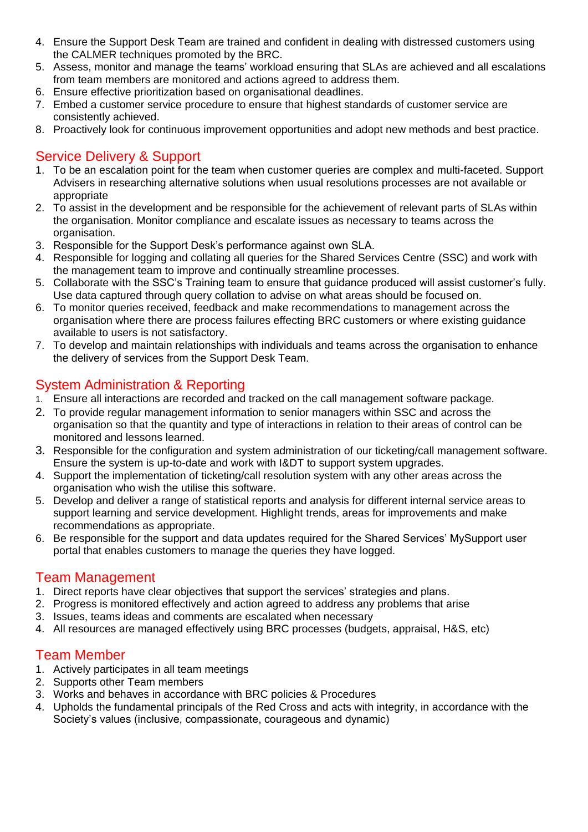- 4. Ensure the Support Desk Team are trained and confident in dealing with distressed customers using the CALMER techniques promoted by the BRC.
- 5. Assess, monitor and manage the teams' workload ensuring that SLAs are achieved and all escalations from team members are monitored and actions agreed to address them.
- 6. Ensure effective prioritization based on organisational deadlines.
- 7. Embed a customer service procedure to ensure that highest standards of customer service are consistently achieved.
- 8. Proactively look for continuous improvement opportunities and adopt new methods and best practice.

## Service Delivery & Support

- 1. To be an escalation point for the team when customer queries are complex and multi-faceted. Support Advisers in researching alternative solutions when usual resolutions processes are not available or appropriate
- 2. To assist in the development and be responsible for the achievement of relevant parts of SLAs within the organisation. Monitor compliance and escalate issues as necessary to teams across the organisation.
- 3. Responsible for the Support Desk's performance against own SLA.
- 4. Responsible for logging and collating all queries for the Shared Services Centre (SSC) and work with the management team to improve and continually streamline processes.
- 5. Collaborate with the SSC's Training team to ensure that guidance produced will assist customer's fully. Use data captured through query collation to advise on what areas should be focused on.
- 6. To monitor queries received, feedback and make recommendations to management across the organisation where there are process failures effecting BRC customers or where existing guidance available to users is not satisfactory.
- 7. To develop and maintain relationships with individuals and teams across the organisation to enhance the delivery of services from the Support Desk Team.

## System Administration & Reporting

- 1. Ensure all interactions are recorded and tracked on the call management software package.
- 2. To provide regular management information to senior managers within SSC and across the organisation so that the quantity and type of interactions in relation to their areas of control can be monitored and lessons learned.
- 3. Responsible for the configuration and system administration of our ticketing/call management software. Ensure the system is up-to-date and work with I&DT to support system upgrades.
- 4. Support the implementation of ticketing/call resolution system with any other areas across the organisation who wish the utilise this software.
- 5. Develop and deliver a range of statistical reports and analysis for different internal service areas to support learning and service development. Highlight trends, areas for improvements and make recommendations as appropriate.
- 6. Be responsible for the support and data updates required for the Shared Services' MySupport user portal that enables customers to manage the queries they have logged.

### Team Management

- 1. Direct reports have clear objectives that support the services' strategies and plans.
- 2. Progress is monitored effectively and action agreed to address any problems that arise
- 3. Issues, teams ideas and comments are escalated when necessary
- 4. All resources are managed effectively using BRC processes (budgets, appraisal, H&S, etc)

### Team Member

- 1. Actively participates in all team meetings
- 2. Supports other Team members
- 3. Works and behaves in accordance with BRC policies & Procedures
- 4. Upholds the fundamental principals of the Red Cross and acts with integrity, in accordance with the Society's values (inclusive, compassionate, courageous and dynamic)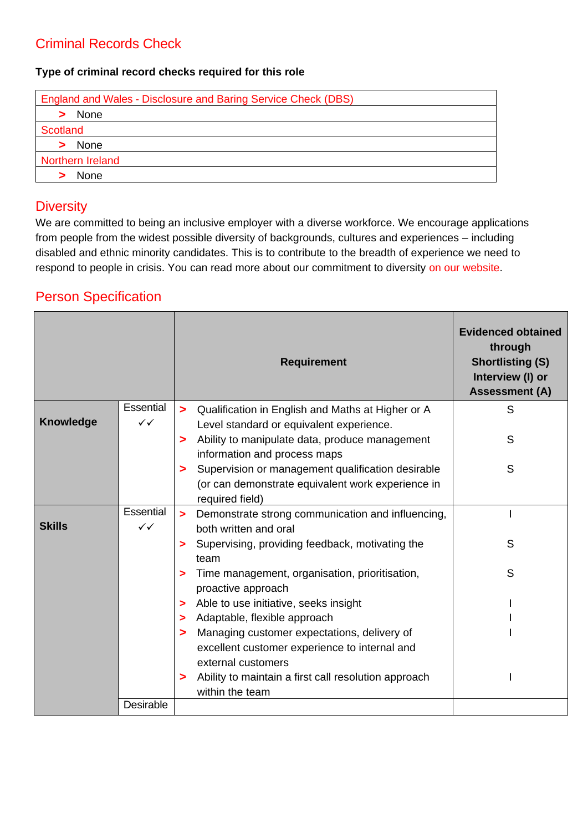## Criminal Records Check

#### **Type of criminal record checks required for this role**

| <b>England and Wales - Disclosure and Baring Service Check (DBS)</b> |
|----------------------------------------------------------------------|
| None                                                                 |
| Scotland                                                             |
| None                                                                 |
| Northern Ireland                                                     |
| <b>None</b>                                                          |

### **Diversity**

We are committed to being an inclusive employer with a diverse workforce. We encourage applications from people from the widest possible diversity of backgrounds, cultures and experiences – including disabled and ethnic minority candidates. This is to contribute to the breadth of experience we need to respond to people in crisis. You can read more about our commitment to diversity [on our website.](http://www.redcross.org.uk/About-us/Jobs/UK/Diversity-in-recruitment)

### Person Specification

|                  |              | <b>Requirement</b>                                                           | <b>Evidenced obtained</b><br>through<br><b>Shortlisting (S)</b><br>Interview (I) or<br><b>Assessment (A)</b> |
|------------------|--------------|------------------------------------------------------------------------------|--------------------------------------------------------------------------------------------------------------|
|                  | Essential    | Qualification in English and Maths at Higher or A<br>$\geq$                  | S                                                                                                            |
| <b>Knowledge</b> | $\checkmark$ | Level standard or equivalent experience.                                     |                                                                                                              |
|                  |              | Ability to manipulate data, produce management<br>>                          | S                                                                                                            |
|                  |              | information and process maps                                                 |                                                                                                              |
|                  |              | Supervision or management qualification desirable<br>>                       | S                                                                                                            |
|                  |              | (or can demonstrate equivalent work experience in                            |                                                                                                              |
|                  |              | required field)                                                              |                                                                                                              |
|                  | Essential    | Demonstrate strong communication and influencing,<br>$\geq$                  |                                                                                                              |
| <b>Skills</b>    | $\checkmark$ | both written and oral                                                        |                                                                                                              |
|                  |              | Supervising, providing feedback, motivating the<br>>                         | S                                                                                                            |
|                  |              | team                                                                         |                                                                                                              |
|                  |              | Time management, organisation, prioritisation,<br>>                          | S                                                                                                            |
|                  |              | proactive approach                                                           |                                                                                                              |
|                  |              | Able to use initiative, seeks insight<br>>                                   |                                                                                                              |
|                  |              | Adaptable, flexible approach                                                 |                                                                                                              |
|                  |              | Managing customer expectations, delivery of<br>>                             |                                                                                                              |
|                  |              | excellent customer experience to internal and                                |                                                                                                              |
|                  |              | external customers                                                           |                                                                                                              |
|                  |              | Ability to maintain a first call resolution approach<br>><br>within the team |                                                                                                              |
|                  | Desirable    |                                                                              |                                                                                                              |
|                  |              |                                                                              |                                                                                                              |